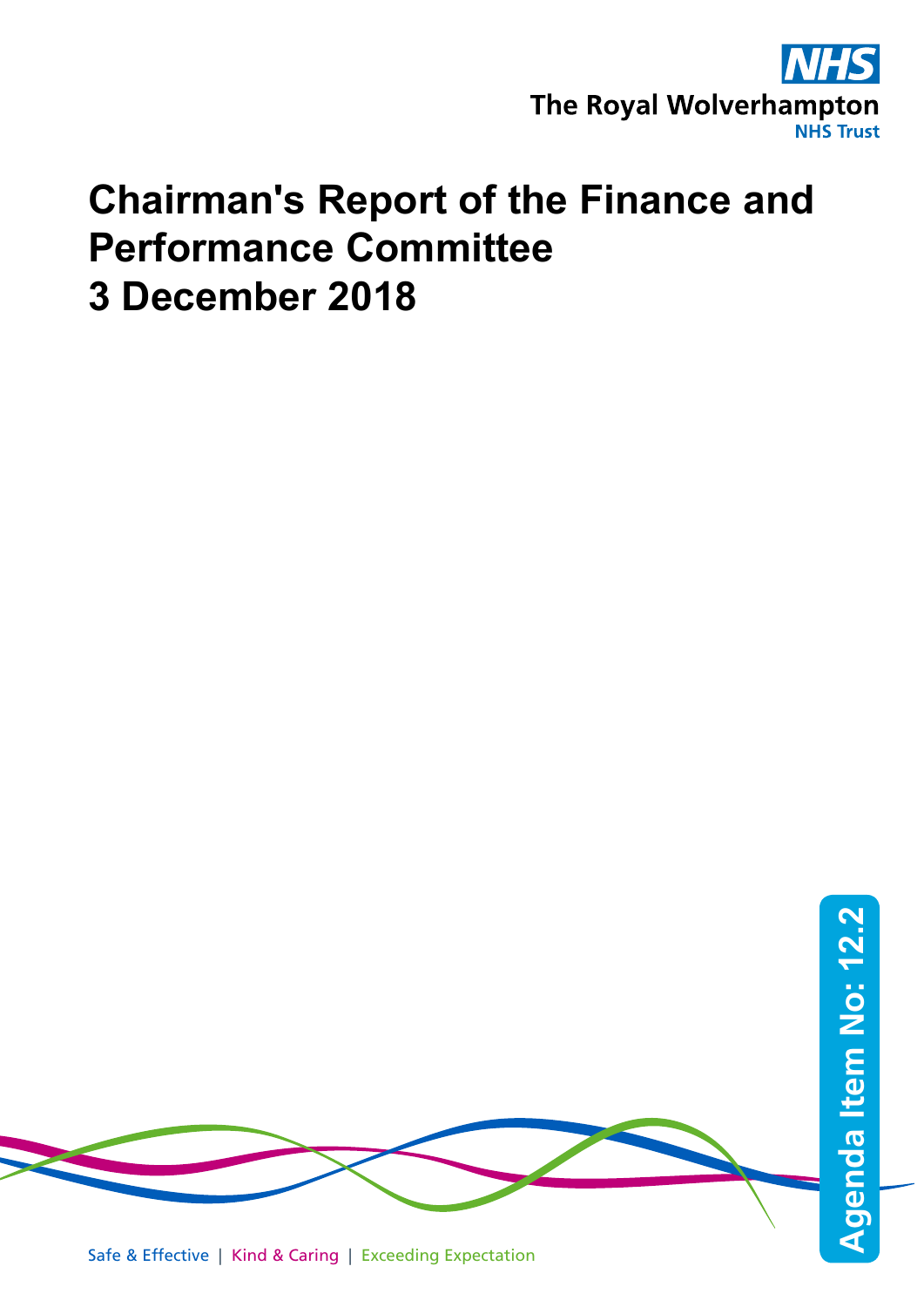

## **Chairman's Report of the Finance and Performance Committee 3 December 2018**

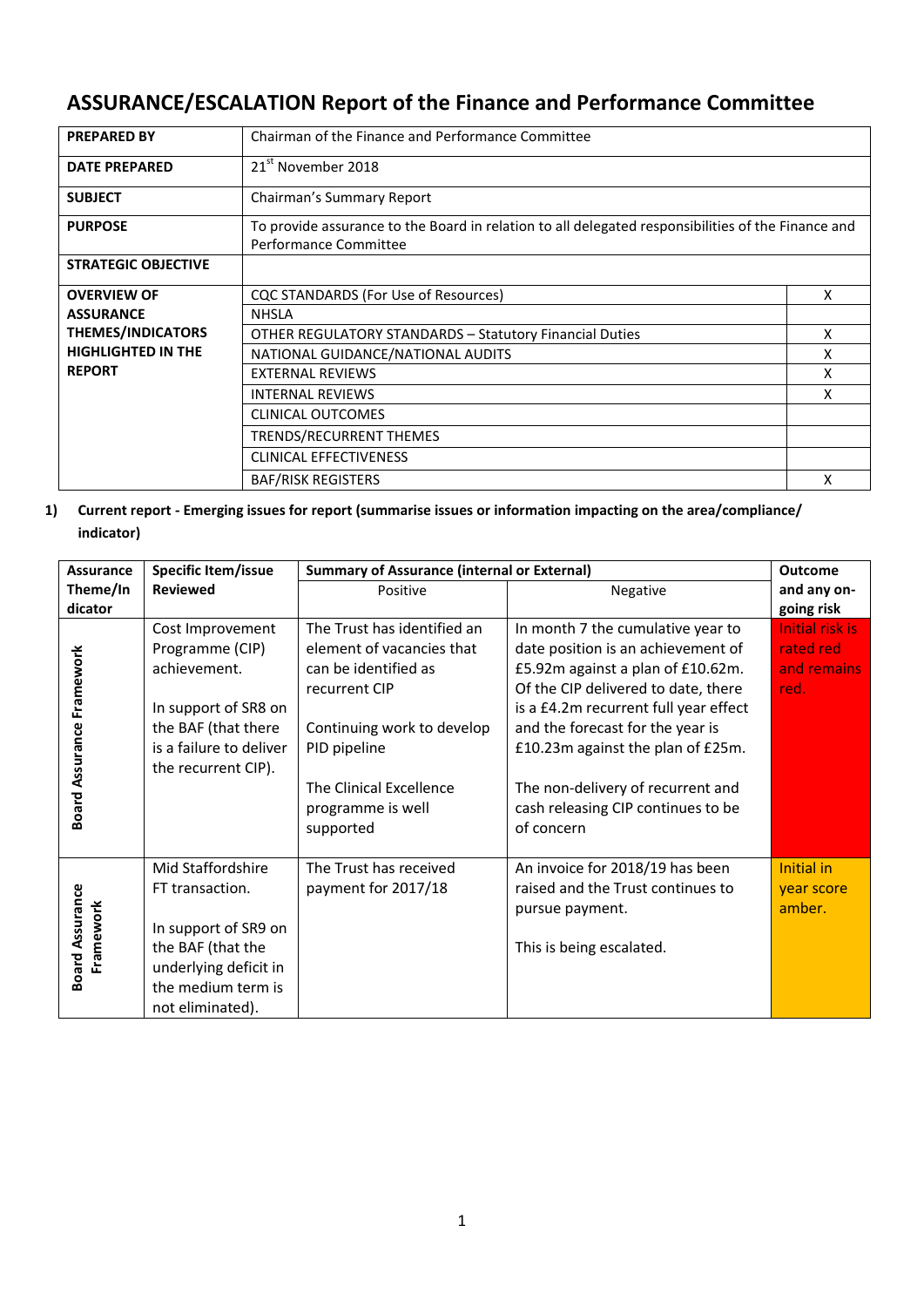## **ASSURANCE/ESCALATION Report of the Finance and Performance Committee**

| <b>PREPARED BY</b>         | Chairman of the Finance and Performance Committee                                                                           |   |  |
|----------------------------|-----------------------------------------------------------------------------------------------------------------------------|---|--|
| <b>DATE PREPARED</b>       | 21 <sup>st</sup> November 2018                                                                                              |   |  |
| <b>SUBJECT</b>             | Chairman's Summary Report                                                                                                   |   |  |
| <b>PURPOSE</b>             | To provide assurance to the Board in relation to all delegated responsibilities of the Finance and<br>Performance Committee |   |  |
| <b>STRATEGIC OBJECTIVE</b> |                                                                                                                             |   |  |
| <b>OVERVIEW OF</b>         | CQC STANDARDS (For Use of Resources)                                                                                        | X |  |
| <b>ASSURANCE</b>           | <b>NHSLA</b>                                                                                                                |   |  |
| <b>THEMES/INDICATORS</b>   | <b>OTHER REGULATORY STANDARDS - Statutory Financial Duties</b><br>X                                                         |   |  |
| <b>HIGHLIGHTED IN THE</b>  | NATIONAL GUIDANCE/NATIONAL AUDITS                                                                                           | x |  |
| <b>REPORT</b>              | <b>EXTERNAL REVIEWS</b>                                                                                                     | x |  |
|                            | <b>INTERNAL REVIEWS</b>                                                                                                     | x |  |
|                            | <b>CLINICAL OUTCOMES</b>                                                                                                    |   |  |
|                            | <b>TRENDS/RECURRENT THEMES</b>                                                                                              |   |  |
|                            | <b>CLINICAL EFFECTIVENESS</b>                                                                                               |   |  |
|                            | <b>BAF/RISK REGISTERS</b><br>x                                                                                              |   |  |

**1) Current report - Emerging issues for report (summarise issues or information impacting on the area/compliance/ indicator)**

| <b>Assurance</b>                    | Specific Item/issue                                                                                          | <b>Summary of Assurance (internal or External)</b>        |                                                                                                                | <b>Outcome</b>                      |
|-------------------------------------|--------------------------------------------------------------------------------------------------------------|-----------------------------------------------------------|----------------------------------------------------------------------------------------------------------------|-------------------------------------|
| Theme/In                            | <b>Reviewed</b>                                                                                              | Positive                                                  | Negative                                                                                                       | and any on-                         |
| dicator                             |                                                                                                              |                                                           |                                                                                                                | going risk                          |
|                                     | Cost Improvement<br>Programme (CIP)                                                                          | The Trust has identified an<br>element of vacancies that  | In month 7 the cumulative year to<br>date position is an achievement of                                        | <b>Initial risk is</b><br>rated red |
| Board Assurance Framework           | achievement.                                                                                                 | can be identified as<br>recurrent CIP                     | £5.92m against a plan of £10.62m.<br>Of the CIP delivered to date, there                                       | and remains<br>red.                 |
|                                     | In support of SR8 on<br>the BAF (that there<br>is a failure to deliver<br>the recurrent CIP).                | Continuing work to develop<br>PID pipeline                | is a £4.2m recurrent full year effect<br>and the forecast for the year is<br>£10.23m against the plan of £25m. |                                     |
|                                     |                                                                                                              | The Clinical Excellence<br>programme is well<br>supported | The non-delivery of recurrent and<br>cash releasing CIP continues to be<br>of concern                          |                                     |
|                                     | Mid Staffordshire<br>FT transaction.                                                                         | The Trust has received<br>payment for 2017/18             | An invoice for 2018/19 has been<br>raised and the Trust continues to<br>pursue payment.                        | Initial in<br>year score<br>amber.  |
| <b>Board Assurance</b><br>Framework | In support of SR9 on<br>the BAF (that the<br>underlying deficit in<br>the medium term is<br>not eliminated). |                                                           | This is being escalated.                                                                                       |                                     |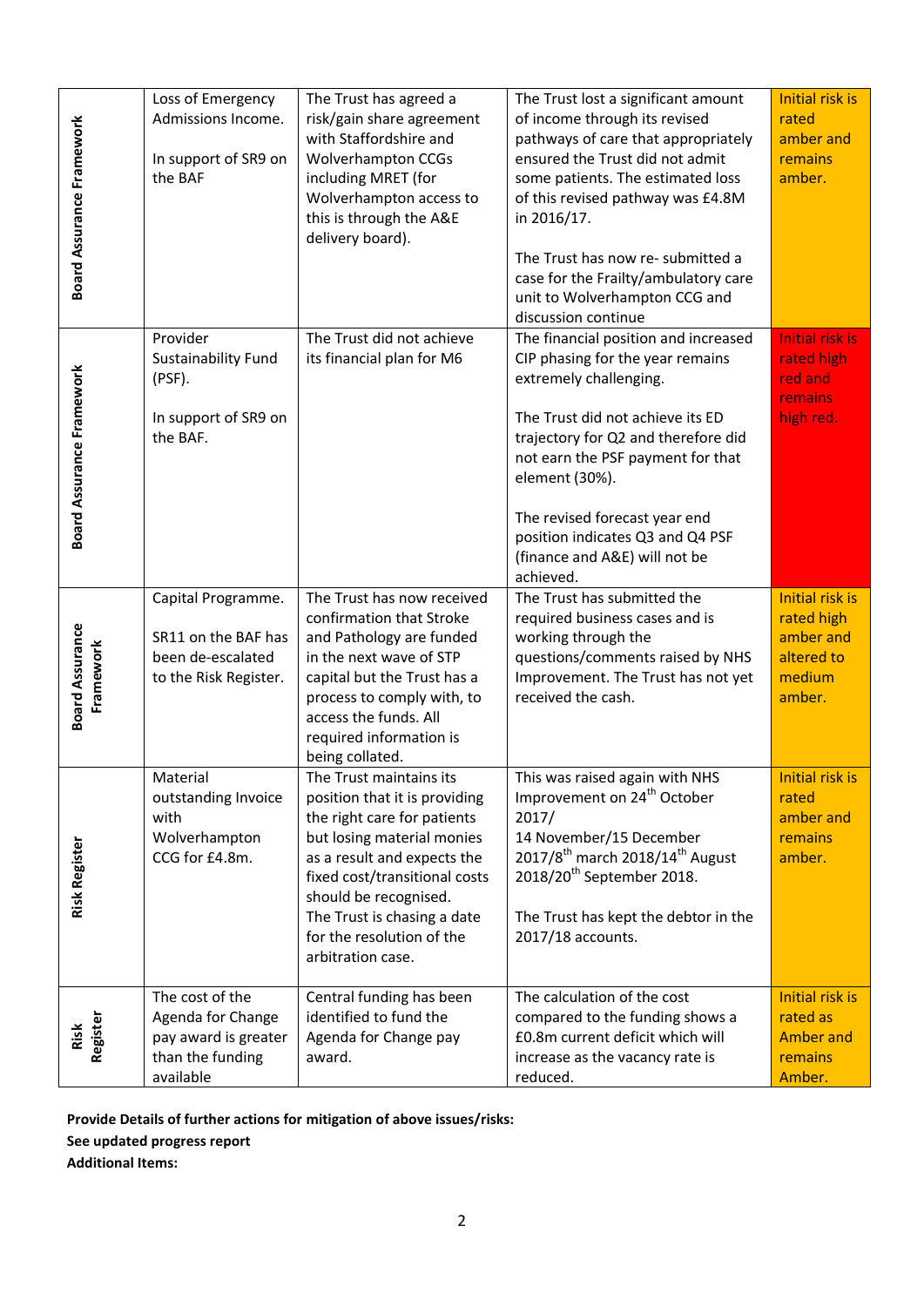| <b>Board Assurance Framework</b>    | Loss of Emergency<br>Admissions Income.<br>In support of SR9 on<br>the BAF                    | The Trust has agreed a<br>risk/gain share agreement<br>with Staffordshire and<br><b>Wolverhampton CCGs</b><br>including MRET (for<br>Wolverhampton access to<br>this is through the A&E<br>delivery board).                                                                                     | The Trust lost a significant amount<br>of income through its revised<br>pathways of care that appropriately<br>ensured the Trust did not admit<br>some patients. The estimated loss<br>of this revised pathway was £4.8M<br>in 2016/17.<br>The Trust has now re- submitted a<br>case for the Frailty/ambulatory care<br>unit to Wolverhampton CCG and<br>discussion continue | <b>Initial risk is</b><br>rated<br>amber and<br>remains<br>amber.                   |
|-------------------------------------|-----------------------------------------------------------------------------------------------|-------------------------------------------------------------------------------------------------------------------------------------------------------------------------------------------------------------------------------------------------------------------------------------------------|------------------------------------------------------------------------------------------------------------------------------------------------------------------------------------------------------------------------------------------------------------------------------------------------------------------------------------------------------------------------------|-------------------------------------------------------------------------------------|
| Board Assurance Framework           | Provider<br>Sustainability Fund<br>(PSF).<br>In support of SR9 on<br>the BAF.                 | The Trust did not achieve<br>its financial plan for M6                                                                                                                                                                                                                                          | The financial position and increased<br>CIP phasing for the year remains<br>extremely challenging.<br>The Trust did not achieve its ED<br>trajectory for Q2 and therefore did<br>not earn the PSF payment for that<br>element (30%).<br>The revised forecast year end<br>position indicates Q3 and Q4 PSF<br>(finance and A&E) will not be<br>achieved.                      | <b>Initial risk is</b><br>rated high<br>red and<br>remains<br>high red.             |
| <b>Board Assurance</b><br>Framework | Capital Programme.<br>SR11 on the BAF has<br>been de-escalated<br>to the Risk Register.       | The Trust has now received<br>confirmation that Stroke<br>and Pathology are funded<br>in the next wave of STP<br>capital but the Trust has a<br>process to comply with, to<br>access the funds. All<br>required information is<br>being collated.                                               | The Trust has submitted the<br>required business cases and is<br>working through the<br>questions/comments raised by NHS<br>Improvement. The Trust has not yet<br>received the cash.                                                                                                                                                                                         | <b>Initial risk is</b><br>rated high<br>amber and<br>altered to<br>medium<br>amber. |
| <b>Risk Register</b>                | Material<br>outstanding Invoice<br>with<br>Wolverhampton<br>CCG for £4.8m.                    | The Trust maintains its<br>position that it is providing<br>the right care for patients<br>but losing material monies<br>as a result and expects the<br>fixed cost/transitional costs<br>should be recognised.<br>The Trust is chasing a date<br>for the resolution of the<br>arbitration case. | This was raised again with NHS<br>Improvement on 24 <sup>th</sup> October<br>2017/<br>14 November/15 December<br>2017/8 <sup>th</sup> march 2018/14 <sup>th</sup> August<br>2018/20 <sup>th</sup> September 2018.<br>The Trust has kept the debtor in the<br>2017/18 accounts.                                                                                               | Initial risk is<br>rated<br>amber and<br>remains<br>amber.                          |
| Register<br>Risk                    | The cost of the<br>Agenda for Change<br>pay award is greater<br>than the funding<br>available | Central funding has been<br>identified to fund the<br>Agenda for Change pay<br>award.                                                                                                                                                                                                           | The calculation of the cost<br>compared to the funding shows a<br>£0.8m current deficit which will<br>increase as the vacancy rate is<br>reduced.                                                                                                                                                                                                                            | Initial risk is<br>rated as<br><b>Amber and</b><br>remains<br>Amber.                |
| <b>Additional Items:</b>            | See updated progress report                                                                   | Provide Details of further actions for mitigation of above issues/risks:                                                                                                                                                                                                                        |                                                                                                                                                                                                                                                                                                                                                                              |                                                                                     |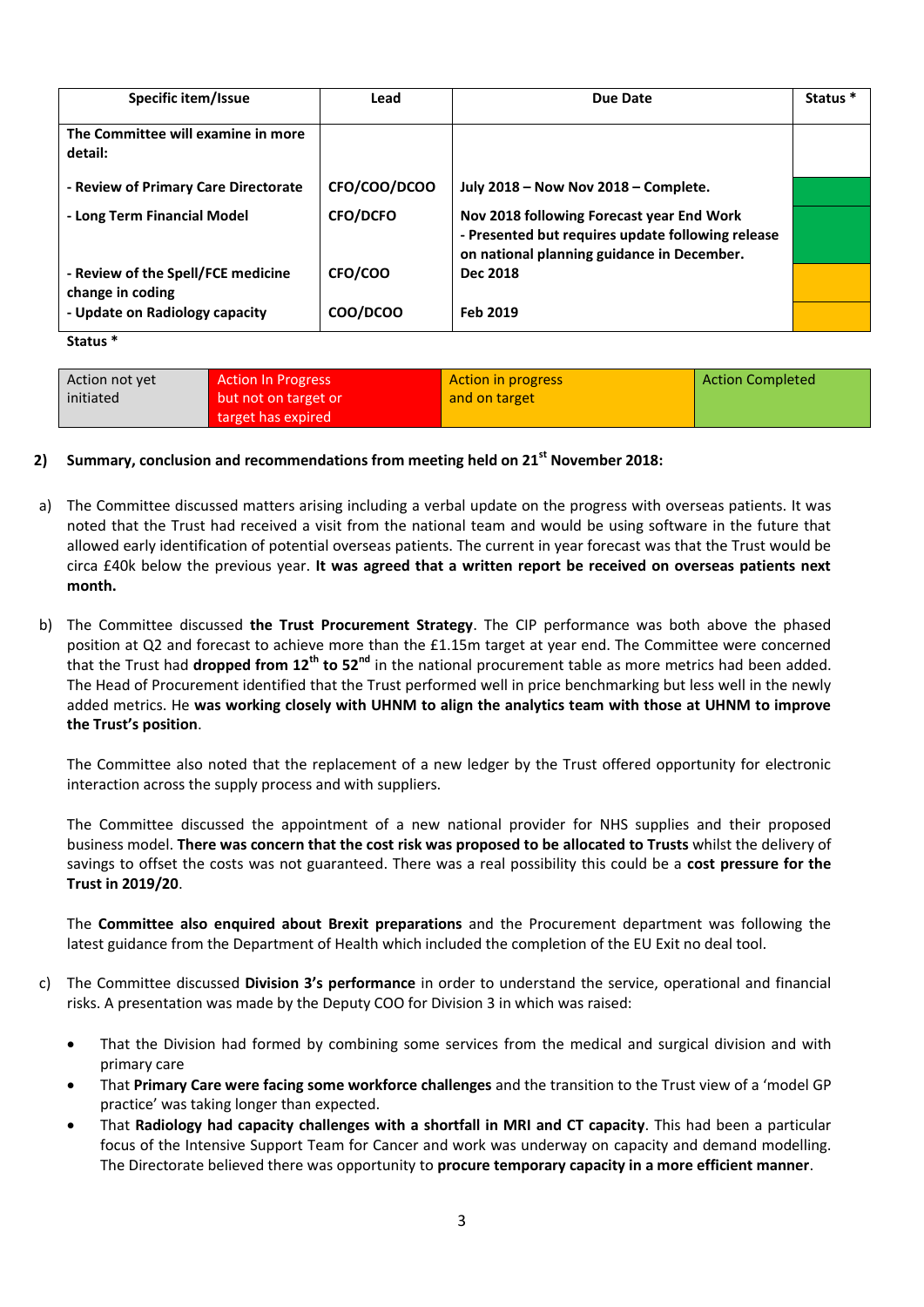| Specific item/Issue                                    | Lead            | Due Date                                                                                                                                     | Status <sup>*</sup> |
|--------------------------------------------------------|-----------------|----------------------------------------------------------------------------------------------------------------------------------------------|---------------------|
| The Committee will examine in more<br>detail:          |                 |                                                                                                                                              |                     |
| - Review of Primary Care Directorate                   | CFO/COO/DCOO    | July 2018 - Now Nov 2018 - Complete.                                                                                                         |                     |
| - Long Term Financial Model                            | <b>CFO/DCFO</b> | Nov 2018 following Forecast year End Work<br>- Presented but requires update following release<br>on national planning guidance in December. |                     |
| - Review of the Spell/FCE medicine<br>change in coding | CFO/COO         | Dec 2018                                                                                                                                     |                     |
| - Update on Radiology capacity                         | COO/DCOO        | Feb 2019                                                                                                                                     |                     |
| .                                                      |                 |                                                                                                                                              |                     |

**Status \***

| Action not yet | <b>Action In Progress</b> | Action in progress | <b>Action Completed</b> |
|----------------|---------------------------|--------------------|-------------------------|
| initiated      | but not on target or      | and on target      |                         |
|                | target has expired        |                    |                         |

## **2) Summary, conclusion and recommendations from meeting held on 21st November 2018:**

- a) The Committee discussed matters arising including a verbal update on the progress with overseas patients. It was noted that the Trust had received a visit from the national team and would be using software in the future that allowed early identification of potential overseas patients. The current in year forecast was that the Trust would be circa £40k below the previous year. **It was agreed that a written report be received on overseas patients next month.**
- b) The Committee discussed **the Trust Procurement Strategy**. The CIP performance was both above the phased position at Q2 and forecast to achieve more than the £1.15m target at year end. The Committee were concerned that the Trust had **dropped from 12th to 52nd** in the national procurement table as more metrics had been added. The Head of Procurement identified that the Trust performed well in price benchmarking but less well in the newly added metrics. He **was working closely with UHNM to align the analytics team with those at UHNM to improve the Trust's position**.

The Committee also noted that the replacement of a new ledger by the Trust offered opportunity for electronic interaction across the supply process and with suppliers.

The Committee discussed the appointment of a new national provider for NHS supplies and their proposed business model. **There was concern that the cost risk was proposed to be allocated to Trusts** whilst the delivery of savings to offset the costs was not guaranteed. There was a real possibility this could be a **cost pressure for the Trust in 2019/20**.

The **Committee also enquired about Brexit preparations** and the Procurement department was following the latest guidance from the Department of Health which included the completion of the EU Exit no deal tool.

- c) The Committee discussed **Division 3's performance** in order to understand the service, operational and financial risks. A presentation was made by the Deputy COO for Division 3 in which was raised:
	- That the Division had formed by combining some services from the medical and surgical division and with primary care
	- That **Primary Care were facing some workforce challenges** and the transition to the Trust view of a 'model GP practice' was taking longer than expected.
	- That **Radiology had capacity challenges with a shortfall in MRI and CT capacity**. This had been a particular focus of the Intensive Support Team for Cancer and work was underway on capacity and demand modelling. The Directorate believed there was opportunity to **procure temporary capacity in a more efficient manner**.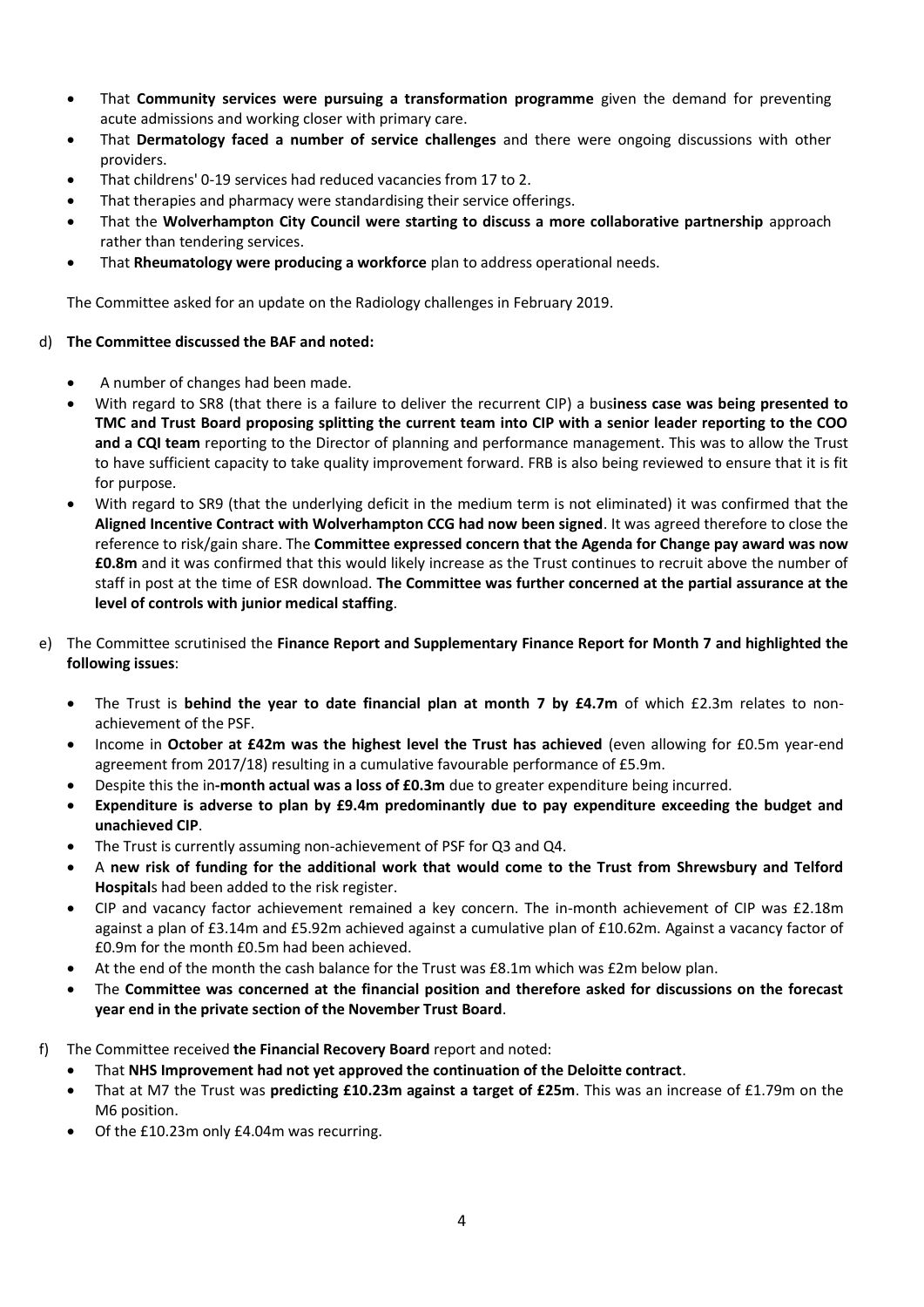- That **Community services were pursuing a transformation programme** given the demand for preventing acute admissions and working closer with primary care.
- That **Dermatology faced a number of service challenges** and there were ongoing discussions with other providers.
- That childrens' 0-19 services had reduced vacancies from 17 to 2.
- That therapies and pharmacy were standardising their service offerings.
- That the **Wolverhampton City Council were starting to discuss a more collaborative partnership** approach rather than tendering services.
- That **Rheumatology were producing a workforce** plan to address operational needs.

The Committee asked for an update on the Radiology challenges in February 2019.

## d) **The Committee discussed the BAF and noted:**

- A number of changes had been made.
- With regard to SR8 (that there is a failure to deliver the recurrent CIP) a bus**iness case was being presented to TMC and Trust Board proposing splitting the current team into CIP with a senior leader reporting to the COO and a CQI team** reporting to the Director of planning and performance management. This was to allow the Trust to have sufficient capacity to take quality improvement forward. FRB is also being reviewed to ensure that it is fit for purpose.
- With regard to SR9 (that the underlying deficit in the medium term is not eliminated) it was confirmed that the **Aligned Incentive Contract with Wolverhampton CCG had now been signed**. It was agreed therefore to close the reference to risk/gain share. The **Committee expressed concern that the Agenda for Change pay award was now £0.8m** and it was confirmed that this would likely increase as the Trust continues to recruit above the number of staff in post at the time of ESR download. **The Committee was further concerned at the partial assurance at the level of controls with junior medical staffing**.
- e) The Committee scrutinised the **Finance Report and Supplementary Finance Report for Month 7 and highlighted the following issues**:
	- The Trust is **behind the year to date financial plan at month 7 by £4.7m** of which £2.3m relates to nonachievement of the PSF.
	- Income in **October at £42m was the highest level the Trust has achieved** (even allowing for £0.5m year-end agreement from 2017/18) resulting in a cumulative favourable performance of £5.9m.
	- Despite this the in**-month actual was a loss of £0.3m** due to greater expenditure being incurred.
	- **Expenditure is adverse to plan by £9.4m predominantly due to pay expenditure exceeding the budget and unachieved CIP**.
	- The Trust is currently assuming non-achievement of PSF for Q3 and Q4.
	- A **new risk of funding for the additional work that would come to the Trust from Shrewsbury and Telford Hospital**s had been added to the risk register.
	- CIP and vacancy factor achievement remained a key concern. The in-month achievement of CIP was £2.18m against a plan of £3.14m and £5.92m achieved against a cumulative plan of £10.62m. Against a vacancy factor of £0.9m for the month £0.5m had been achieved.
	- At the end of the month the cash balance for the Trust was £8.1m which was £2m below plan.
	- The **Committee was concerned at the financial position and therefore asked for discussions on the forecast year end in the private section of the November Trust Board**.
- f) The Committee received **the Financial Recovery Board** report and noted:
	- That **NHS Improvement had not yet approved the continuation of the Deloitte contract**.
	- That at M7 the Trust was **predicting £10.23m against a target of £25m**. This was an increase of £1.79m on the M6 position.
	- Of the £10.23m only £4.04m was recurring.